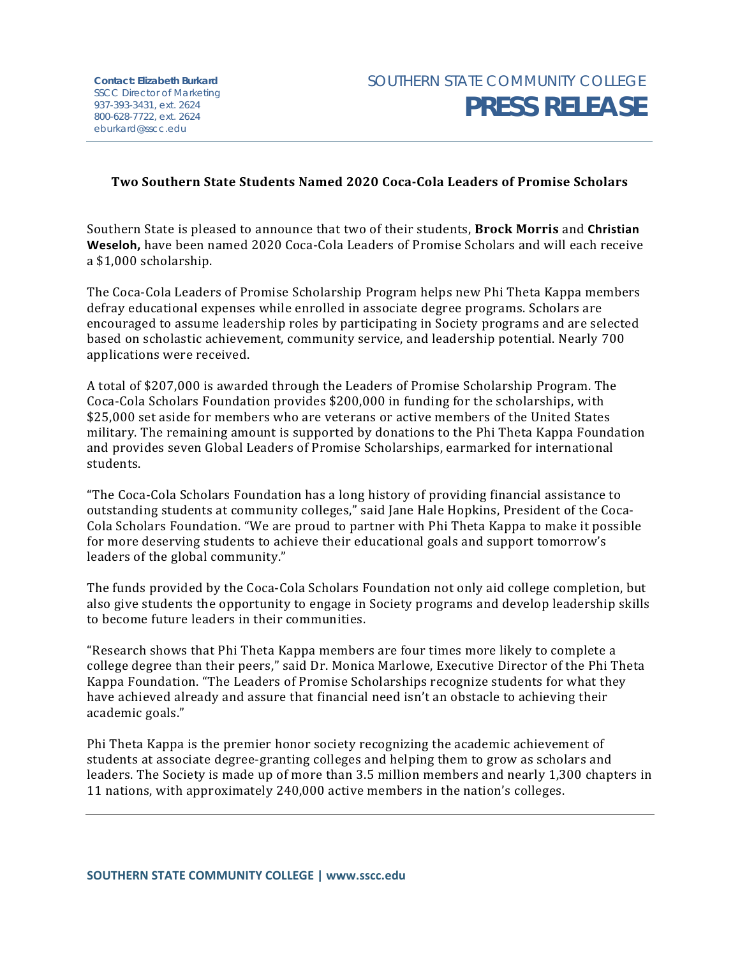## **Two Southern State Students Named 2020 Coca-Cola Leaders of Promise Scholars**

Southern State is pleased to announce that two of their students, **Brock Morris** and **Christian Weseloh,** have been named 2020 Coca-Cola Leaders of Promise Scholars and will each receive a \$1,000 scholarship.

The Coca-Cola Leaders of Promise Scholarship Program helps new Phi Theta Kappa members defray educational expenses while enrolled in associate degree programs. Scholars are encouraged to assume leadership roles by participating in Society programs and are selected based on scholastic achievement, community service, and leadership potential. Nearly 700 applications were received.

A total of \$207,000 is awarded through the Leaders of Promise Scholarship Program. The Coca-Cola Scholars Foundation provides \$200,000 in funding for the scholarships, with \$25,000 set aside for members who are veterans or active members of the United States military. The remaining amount is supported by donations to the Phi Theta Kappa Foundation and provides seven Global Leaders of Promise Scholarships, earmarked for international students.

"The Coca-Cola Scholars Foundation has a long history of providing financial assistance to outstanding students at community colleges," said Jane Hale Hopkins, President of the Coca-Cola Scholars Foundation. "We are proud to partner with Phi Theta Kappa to make it possible for more deserving students to achieve their educational goals and support tomorrow's leaders of the global community."

The funds provided by the Coca-Cola Scholars Foundation not only aid college completion, but also give students the opportunity to engage in Society programs and develop leadership skills to become future leaders in their communities.

"Research shows that Phi Theta Kappa members are four times more likely to complete a college degree than their peers," said Dr. Monica Marlowe, Executive Director of the Phi Theta Kappa Foundation. "The Leaders of Promise Scholarships recognize students for what they have achieved already and assure that financial need isn't an obstacle to achieving their academic goals."

Phi Theta Kappa is the premier honor society recognizing the academic achievement of students at associate degree-granting colleges and helping them to grow as scholars and leaders. The Society is made up of more than 3.5 million members and nearly 1,300 chapters in 11 nations, with approximately 240,000 active members in the nation's colleges.